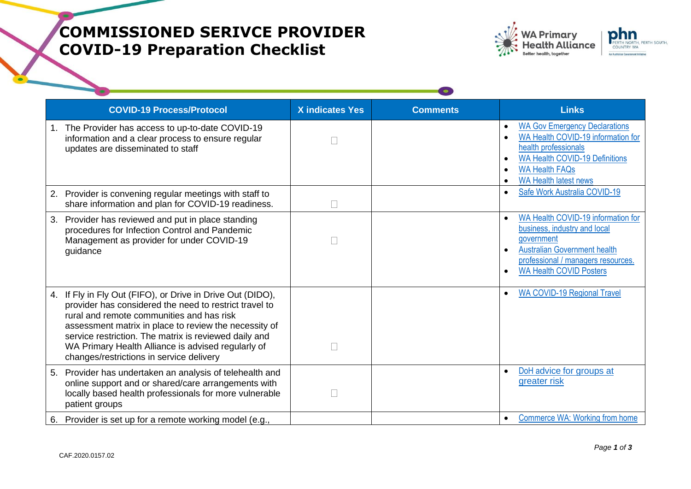## **COMMISSIONED SERIVCE PROVIDER COVID-19 Preparation Checklist**

| <b>WA Primary</b><br><b>Health Alliance</b> | phn<br>PERTH NORTH, PERTH SOUTH,<br><b>COUNTRY WA</b> |
|---------------------------------------------|-------------------------------------------------------|
| <b>Better health, together</b>              | An Australian Government Initiative                   |
|                                             |                                                       |

|    | <b>COVID-19 Process/Protocol</b>                                                                                                                                                                                                                                                                                                                                                      | <b>X</b> indicates Yes | <b>Comments</b> | <b>Links</b>                                                                                                                                                                                                                   |
|----|---------------------------------------------------------------------------------------------------------------------------------------------------------------------------------------------------------------------------------------------------------------------------------------------------------------------------------------------------------------------------------------|------------------------|-----------------|--------------------------------------------------------------------------------------------------------------------------------------------------------------------------------------------------------------------------------|
|    | 1. The Provider has access to up-to-date COVID-19<br>information and a clear process to ensure regular<br>updates are disseminated to staff                                                                                                                                                                                                                                           |                        |                 | <b>WA Gov Emergency Declarations</b><br>WA Health COVID-19 information for<br>health professionals<br><b>WA Health COVID-19 Definitions</b><br>$\bullet$<br><b>WA Health FAQs</b><br><b>WA Health latest news</b><br>$\bullet$ |
| 2. | Provider is convening regular meetings with staff to<br>share information and plan for COVID-19 readiness.                                                                                                                                                                                                                                                                            |                        |                 | Safe Work Australia COVID-19<br>$\bullet$                                                                                                                                                                                      |
| 3. | Provider has reviewed and put in place standing<br>procedures for Infection Control and Pandemic<br>Management as provider for under COVID-19<br>guidance                                                                                                                                                                                                                             |                        |                 | WA Health COVID-19 information for<br>business, industry and local<br>government<br><b>Australian Government health</b><br>professional / managers resources.<br><b>WA Health COVID Posters</b>                                |
|    | 4. If Fly in Fly Out (FIFO), or Drive in Drive Out (DIDO),<br>provider has considered the need to restrict travel to<br>rural and remote communities and has risk<br>assessment matrix in place to review the necessity of<br>service restriction. The matrix is reviewed daily and<br>WA Primary Health Alliance is advised regularly of<br>changes/restrictions in service delivery |                        |                 | <b>WA COVID-19 Regional Travel</b>                                                                                                                                                                                             |
| 5. | Provider has undertaken an analysis of telehealth and<br>online support and or shared/care arrangements with<br>locally based health professionals for more vulnerable<br>patient groups                                                                                                                                                                                              |                        |                 | DoH advice for groups at<br>greater risk                                                                                                                                                                                       |
|    | 6. Provider is set up for a remote working model (e.g.,                                                                                                                                                                                                                                                                                                                               |                        |                 | <b>Commerce WA: Working from home</b><br>$\bullet$                                                                                                                                                                             |

**CONTRACTOR**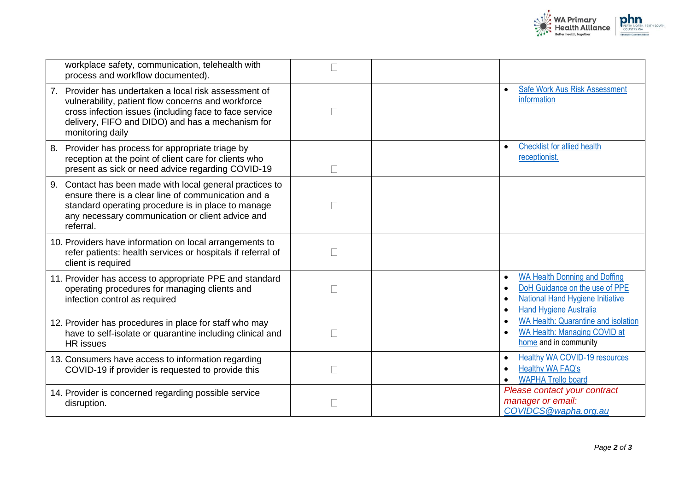

| workplace safety, communication, telehealth with<br>process and workflow documented).                                                                                                                                                         |        |                                                                                                                                                   |
|-----------------------------------------------------------------------------------------------------------------------------------------------------------------------------------------------------------------------------------------------|--------|---------------------------------------------------------------------------------------------------------------------------------------------------|
| 7. Provider has undertaken a local risk assessment of<br>vulnerability, patient flow concerns and workforce<br>cross infection issues (including face to face service<br>delivery, FIFO and DIDO) and has a mechanism for<br>monitoring daily | $\Box$ | <b>Safe Work Aus Risk Assessment</b><br>information                                                                                               |
| Provider has process for appropriate triage by<br>8.<br>reception at the point of client care for clients who<br>present as sick or need advice regarding COVID-19                                                                            | П      | <b>Checklist for allied health</b><br>receptionist.                                                                                               |
| Contact has been made with local general practices to<br>9.<br>ensure there is a clear line of communication and a<br>standard operating procedure is in place to manage<br>any necessary communication or client advice and<br>referral.     | $\Box$ |                                                                                                                                                   |
| 10. Providers have information on local arrangements to<br>refer patients: health services or hospitals if referral of<br>client is required                                                                                                  |        |                                                                                                                                                   |
| 11. Provider has access to appropriate PPE and standard<br>operating procedures for managing clients and<br>infection control as required                                                                                                     |        | WA Health Donning and Doffing<br>DoH Guidance on the use of PPE<br>National Hand Hygiene Initiative<br><b>Hand Hygiene Australia</b><br>$\bullet$ |
| 12. Provider has procedures in place for staff who may<br>have to self-isolate or quarantine including clinical and<br><b>HR</b> issues                                                                                                       | $\Box$ | <b>WA Health: Quarantine and isolation</b><br>$\bullet$<br>WA Health: Managing COVID at<br>home and in community                                  |
| 13. Consumers have access to information regarding<br>COVID-19 if provider is requested to provide this                                                                                                                                       | П      | <b>Healthy WA COVID-19 resources</b><br>$\bullet$<br>Healthy WA FAQ's<br><b>WAPHA Trello board</b>                                                |
| 14. Provider is concerned regarding possible service<br>disruption.                                                                                                                                                                           | $\Box$ | Please contact your contract<br>manager or email:<br>COVIDCS@wapha.org.au                                                                         |